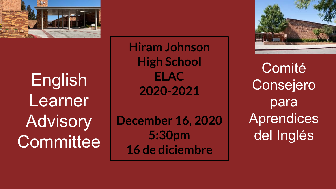

English Learner Advisory **Committee**  **Hiram Johnson High School ELAC 2020-2021**

**December 16, 2020 5:30pm 16 de diciembre**



**Comité** Consejero para Aprendices del Inglés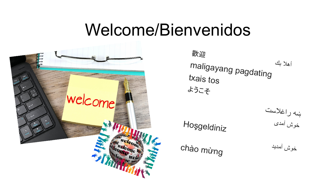# Welcome/Bienvenidos



歡迎 أھلا بكmaligayang pagdating txais tos ようこそ

Hoşgeldiniz

chào mừng

ښھ راغلاست خوش آمدی

خوش آمدید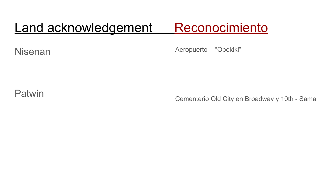# Land acknowledgement Reconocimiento

Nisenan

Aeropuerto - "Opokiki"

Patwin

Cementerio Old City en Broadway y 10th - Sama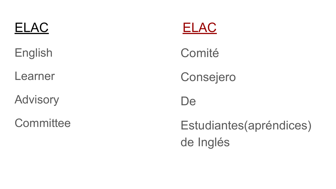English

Learner

**Advisory** 

**Committee** 



Comité

Consejero

De

Estudiantes(apréndices) de Inglés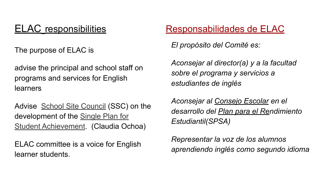The purpose of ELAC is

advise the principal and school staff on programs and services for English learners

Advise [School Site Council](https://holmesms.edlioschool.com/apps/pages/index.jsp?type=d&uREC_ID=309577&pREC_ID=715079) (SSC) on the development of the [Single Plan for](https://holmesms.edlioschool.com/apps/pages/index.jsp?type=d&uREC_ID=309578&pREC_ID=715216) [Student Achievement](https://holmesms.edlioschool.com/apps/pages/index.jsp?type=d&uREC_ID=309578&pREC_ID=715216). (Claudia Ochoa)

ELAC committee is a voice for English learner students.

## ELAC responsibilities Responsabilidades de ELAC

*El propósito del Comité es:* 

*Aconsejar al director(a) y a la facultad sobre el programa y servicios a estudiantes de inglés*

*Aconsejar al Consejo Escolar en el desarrollo del Plan para el Rendimiento Estudiantil(SPSA)* 

*Representar la voz de los alumnos aprendiendo inglés como segundo idioma*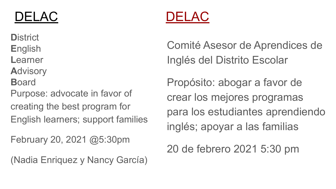**D**istrict **E**nglish **L**earner **A**dvisory **B**oard

Purpose: advocate in favor of creating the best program for English learners; support families

February 20, 2021 @5:30pm

(Nadia Enriquez y Nancy García)



Comité Asesor de Aprendices de Inglés del Distrito Escolar

Propósito: abogar a favor de crear los mejores programas para los estudiantes aprendiendo inglés; apoyar a las familias

20 de febrero 2021 5:30 pm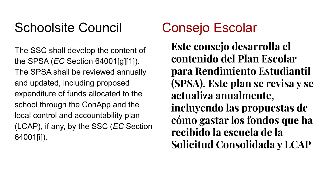# Schoolsite Council Consejo Escolar

The SSC shall develop the content of the SPSA (*EC* Section 64001[g][1]). The SPSA shall be reviewed annually and updated, including proposed expenditure of funds allocated to the school through the ConApp and the local control and accountability plan (LCAP), if any, by the SSC (*EC* Section 64001[i]).

**Este consejo desarrolla el contenido del Plan Escolar para Rendimiento Estudiantil (SPSA). Este plan se revisa y se actualiza anualmente, incluyendo las propuestas de cómo gastar los fondos que ha recibido la escuela de la Solicitud Consolidada y LCAP**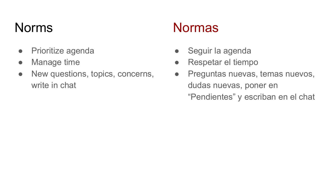- Prioritize agenda
- Manage time
- New questions, topics, concerns, write in chat

# Norms Normas

- Seguir la agenda
- Respetar el tiempo
- Preguntas nuevas, temas nuevos, dudas nuevas, poner en "Pendientes" y escriban en el chat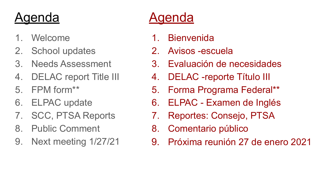# Agenda Agenda

- 1. Welcome
- 2. School updates
- 3. Needs Assessment
- 4. DELAC report Title III
- 5. FPM form\*\*
- 6. ELPAC update
- 7. SCC, PTSA Reports
- 8. Public Comment
- 9. Next meeting 1/27/21

- 1. Bienvenida
- 2. Avisos -escuela
- 3. Evaluación de necesidades
- 4. DELAC -reporte Título III
- 5. Forma Programa Federal\*\*
- 6. ELPAC Examen de Inglés
- 7. Reportes: Consejo, PTSA
- 8. Comentario público
- 9. Próxima reunión 27 de enero 2021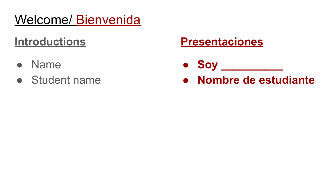# Welcome/ Bienvenida

## **Introductions**

- **Name**
- Student name

## **Presentaciones**

- **● Soy \_\_\_\_\_\_\_\_\_\_**
- **● Nombre de estudiante**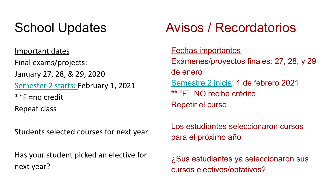Important dates Final exams/projects: January 27, 28, & 29, 2020 Semester 2 starts: February 1, 2021  $*$ F = no credit Repeat class

Students selected courses for next year

Has your student picked an elective for next year?

# School Updates **Avisos / Recordatorios**

### Fechas importantes

Exámenes/proyectos finales: 27, 28, y 29 de enero [Semestre 2 inicia](https://www.scusd.edu/sites/main/files/file-attachments/2020-21_traditional_school_year_calendar_rev_9.15.2020.pdf); 1 de febrero 2021 \*\* "F" NO recibe crédito Repetir el curso

Los estudiantes seleccionaron cursos para el próximo año

¿Sus estudiantes ya seleccionaron sus cursos electivos/optativos?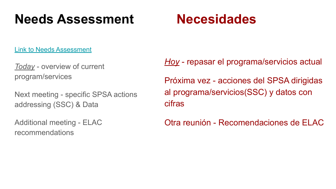# **Needs Assessment Necesidades**

[Link to Needs Assessment](https://drive.google.com/file/d/164civWuEoehcFzldTrRsRUPSS3hwPhq3/view?usp=sharing)

*Today* - overview of current program/services

Next meeting - specific SPSA actions addressing (SSC) & Data

Additional meeting - ELAC recommendations

*Hoy* - repasar el programa/servicios actual Próxima vez - acciones del SPSA dirigidas al programa/servicios(SSC) y datos con cifras

Otra reunión - Recomendaciones de ELAC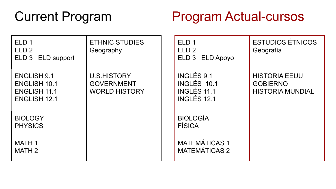## Current Program Program Actual-cursos

| ELD <sub>1</sub><br>ELD <sub>2</sub><br>ELD 3 ELD support                               | <b>ETHNIC STUDIES</b><br>Geography                              | ELD <sub>1</sub><br>ELD <sub>2</sub><br>ELD 3 ELD Apoyo | <b>ESTUDIOS ÉTNICOS</b><br>Geografía                               |
|-----------------------------------------------------------------------------------------|-----------------------------------------------------------------|---------------------------------------------------------|--------------------------------------------------------------------|
| <b>ENGLISH 9.1</b><br><b>ENGLISH 10.1</b><br><b>ENGLISH 11.1</b><br><b>ENGLISH 12.1</b> | <b>U.S.HISTORY</b><br><b>GOVERNMENT</b><br><b>WORLD HISTORY</b> | INGLÉS 9.1<br>INGLÉS 10.1<br>INGLÉS 11.1<br>INGLÉS 12.1 | <b>HISTORIA EEUU</b><br><b>GOBIERNO</b><br><b>HISTORIA MUNDIAL</b> |
| <b>BIOLOGY</b><br><b>PHYSICS</b>                                                        |                                                                 | <b>BIOLOGÍA</b><br><b>FÍSICA</b>                        |                                                                    |
| MATH 1<br><b>MATH 2</b>                                                                 |                                                                 | <b>MATEMÁTICAS 1</b><br><b>MATEMÁTICAS 2</b>            |                                                                    |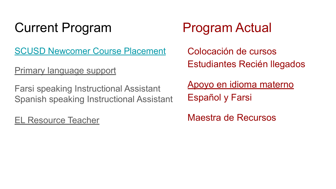# Current Program Program Actual

[SCUSD Newcomer Course Placement](https://docs.google.com/document/d/1Ci9IzdMaK_KQ4hiMxeq8vEJN_kOrbCUtZeRoctUmk6A/edit?usp=sharing)

Primary language support

Farsi speaking Instructional Assistant Spanish speaking Instructional Assistant

EL Resource Teacher

Colocación de cursos Estudiantes Recién llegados

Apoyo en idioma materno Español y Farsi

Maestra de Recursos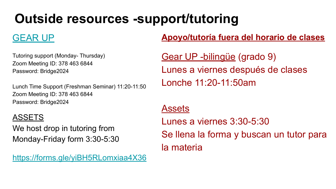# **Outside resources -support/tutoring**

## [GEAR UP](https://drive.google.com/file/d/1aJNj-142guZtGjNSC6kiyuLAiOjnaThR/view?usp=sharing)

Tutoring support (Monday- Thursday) Zoom Meeting ID: 378 463 6844 Password: Bridge2024

Lunch Time Support (Freshman Seminar) 11:20-11:50 Zoom Meeting ID: 378 463 6844 Password: Bridge2024

### ASSETS

We host drop in tutoring from Monday-Friday form 3:30-5:30

[https://forms.gle/yiBH5RLomxiaa4X36](https://mail.scusd.edu/owa/redir.aspx?C=XiWtQouoMLUsQHgSr94jrmtcbSjiqe5k1v0TuO32lMdceA-Ei6HYCA..&URL=https%3a%2f%2fforms.gle%2fyiBH5RLomxiaa4X36)

### **Apoyo/tutoría fuera del horario de clases**

Gear UP -bilingüe (grado 9) Lunes a viernes después de clases Lonche 11:20-11:50am

### Assets

Lunes a viernes 3:30-5:30 Se llena la forma y buscan un tutor para la materia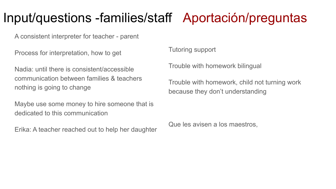# Input/questions -families/staff Aportación/preguntas

A consistent interpreter for teacher - parent

Process for interpretation, how to get

Nadia: until there is consistent/accessible communication between families & teachers nothing is going to change

Maybe use some money to hire someone that is dedicated to this communication

Erika: A teacher reached out to help her daughter

Tutoring support

Trouble with homework bilingual

Trouble with homework, child not turning work because they don't understanding

Que les avisen a los maestros,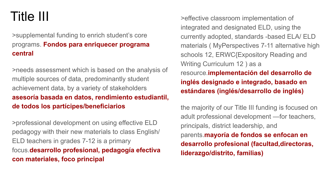# Title III

### >supplemental funding to enrich student's core programs. **Fondos para enriquecer programa central**

>needs assessment which is based on the analysis of multiple sources of data, predominantly student achievement data, by a variety of stakeholders **asesoría basada en datos, rendimiento estudiantil, de todos los partícipes/beneficiarios**

>professional development on using effective ELD pedagogy with their new materials to class English/ ELD teachers in grades 7-12 is a primary focus.**desarrollo profesional, pedagogía efectiva con materiales, foco principal** 

>effective classroom implementation of integrated and designated ELD, using the currently adopted, standards -based ELA/ ELD materials ( MyPerspectives 7-11 alternative high schools 12, ERWC{Expository Reading and Writing Curriculum 12 ) as a resource.**implementación del desarrollo de inglés designado e integrado, basado en estándares (inglés/desarrollo de inglés)**

the majority of our Title III funding is focused on adult professional development —for teachers, principals, district leadership, and parents.**mayoría de fondos se enfocan en desarrollo profesional (facultad,directoras, liderazgo/distrito, familias)**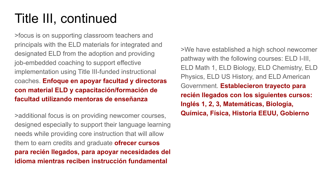# Title III, continued

>focus is on supporting classroom teachers and principals with the ELD materials for integrated and designated ELD from the adoption and providing job-embedded coaching to support effective implementation using Title III-funded instructional coaches. **Enfoque en apoyar facultad y directoras con material ELD y capacitación/formación de facultad utilizando mentoras de enseñanza** 

>additional focus is on providing newcomer courses, designed especially to support their language learning needs while providing core instruction that will allow them to earn credits and graduate **ofrecer cursos para recién llegados, para apoyar necesidades del idioma mientras reciben instrucción fundamental**

>We have established a high school newcomer pathway with the following courses: ELD I-III, ELD Math 1, ELD Biology, ELD Chemistry, ELD Physics, ELD US History, and ELD American Government. **Establecieron trayecto para recién llegados con los siguientes cursos: Inglés 1, 2, 3, Matemáticas, Biología, Química, Física, Historia EEUU, Gobierno**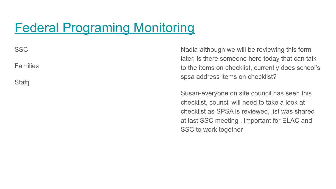# [Federal Programing Monitoring](https://drive.google.com/file/d/1jEqoPUyad1E1Zqnj53IDBwYj0zdFzh5w/view?usp=sharing)

SSC

Families

**Staffi** 

Nadia-although we will be reviewing this form later, is there someone here today that can talk to the items on checklist, currently does school's spsa address items on checklist?

Susan-everyone on site council has seen this checklist, council will need to take a look at checklist as SPSA is reviewed, list was shared at last SSC meeting , important for ELAC and SSC to work together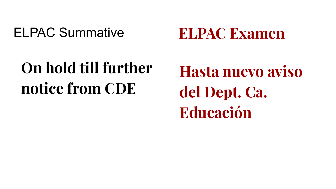# ELPAC Summative

**ELPAC Examen**

# **On hold till further notice from CDE**

**Hasta nuevo aviso del Dept. Ca. Educación**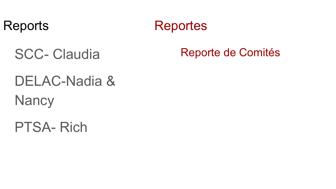## Reports Reportes

SCC- Claudia

# DELAC-Nadia & **Nancy**

PTSA- Rich

## Reporte de Comités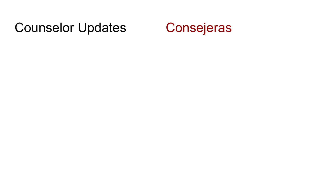# Counselor Updates Consejeras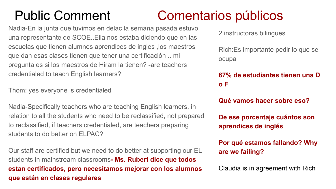# Public Comment Comentarios públicos

Nadia-En la junta que tuvimos en delac la semana pasada estuvo una representante de SCOE..Ella nos estaba diciendo que en las escuelas que tienen alumnos aprendices de ingles ,los maestros que dan esas clases tienen que tener una certificación .. mi pregunta es si los maestros de Hiram la tienen? -are teachers credentialed to teach English learners?

Thom: yes everyone is credentialed

Nadia-Specifically teachers who are teaching English learners, in relation to all the students who need to be reclassified, not prepared to reclassified, if teachers credentialed, are teachers preparing students to do better on FI PAC?

Our staff are certified but we need to do better at supporting our EL students in mainstream classrooms**- Ms. Rubert dice que todos estan certificados, pero necesitamos mejorar con los alumnos que están en clases regulares**

2 instructoras bilingües

Rich:Es importante pedir lo que se ocupa

**67% de estudiantes tienen una D o F** 

**Qué vamos hacer sobre eso?**

**De ese porcentaje cuántos son aprendices de inglés**

**Por qué estamos fallando? Why are we failing?**

Claudia is in agreement with Rich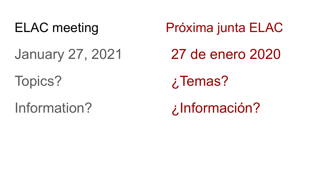January 27, 2021

Topics?

Information?

ELAC meeting Próxima junta ELAC 27 de enero 2020 ¿Temas? ¿Información?